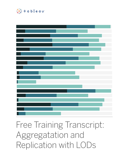

# Free Training Transcript: Aggregatation and Replication with LODs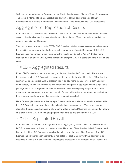Welcome to this video on the Aggregation and Replication behavior of Level of Detail Expressions. This video is intended to be a conceptual explanation of certain deeper aspects of LOD Expressions. To learn the fundamentals, please see the video Introduction to LOD Expressions.

### Aggregation or Replication of Results

As established in previous videos, the Level of Detail of the view determines the number of marks drawn in the visualization. If a calculation has a different Level of Detail, something needs to be done to reconcile the difference.

This can be seen most easily with FIXED. FIXED level of detail expressions compute values using the specified dimensions without reference to the view's level of detail. Because a FIXED LOD Expression is independent of the view's LOD, the results may be either "below" (that is, more granular than) or "above" (that is, more aggregated than) the LOD that established the marks on the sheet.

## FIXED – Aggregated Results

If the LOD Expression's results are more granular than the view LOD, such as in this example, the values from the LOD Expression are aggregated to create the view. Here, the LOD of the view is simply Segment, but the LOD Expression was fixed at a more granular level of both Segment and Category. The LOD Expression's values for each category are aggregated into a single value per segment to be displayed in the view as the result. If we pre-emptively wrap a level of detail expression in an aggregation when we create it, Tableau will use the aggregation specified rather than choosing one for us when that expression is placed on a shelf.

Here, for example, we want the Average per Category sale, so while we summed the sales inside the LOD Expression, we want the results to be displayed as an Average. This arrow diagram illustrates the process schematically, showing the value of the LOD Expression computed at a lower level than the Viz LOD then being aggregated back up to be displayed at the Viz LOD.

# FIXED – Replicated Results

If the dimension declaration is less granular (more aggregated) than the view, the values from the LOD Expression are replicated to create the view. Here, the LOD of the view is both Category and Segment, but the LOD Expression was fixed at a less granular level of just Segment. The LOD Expression's values for each segment are replicated for each Category within a segment to be displayed in the view. In this instance, wrapping the expression in an aggregation isn't necessary,